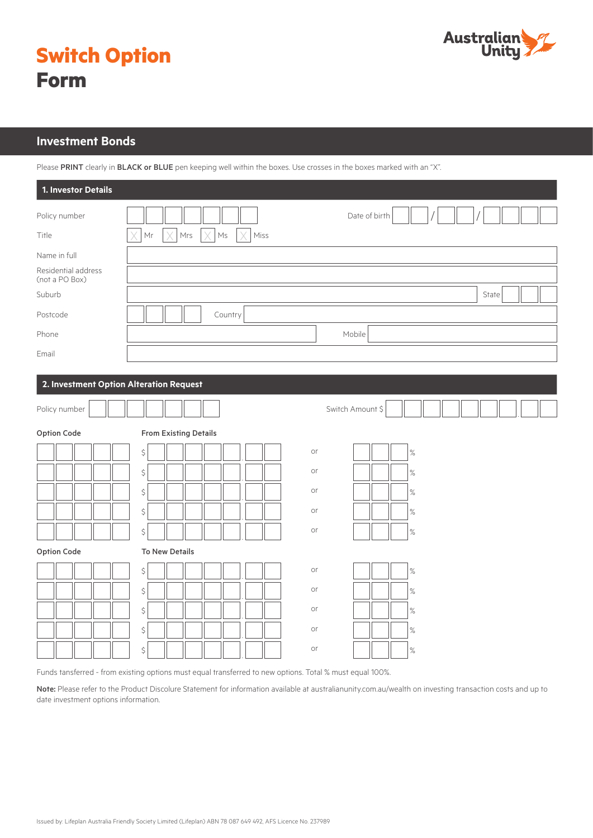

|             | <b>Switch Option</b> |
|-------------|----------------------|
| <b>Form</b> |                      |

# **Investment Bonds**

Please PRINT clearly in BLACK or BLUE pen keeping well within the boxes. Use crosses in the boxes marked with an "X".

| 1. Investor Details                     |                                                            |
|-----------------------------------------|------------------------------------------------------------|
| Policy number                           | Date of birth                                              |
| Title                                   | Mrs<br>$\mathsf{M}\mathsf{s}$<br>Miss<br>Mr<br>Χ<br>X<br>X |
| Name in full                            |                                                            |
| Residential address<br>(not a PO Box)   |                                                            |
| Suburb                                  | State                                                      |
| Postcode                                | Country                                                    |
| Phone                                   | Mobile                                                     |
| Email                                   |                                                            |
|                                         |                                                            |
| 2. Investment Option Alteration Request |                                                            |
| Policy number                           | Switch Amount \$                                           |
| Option Code                             | <b>From Existing Details</b>                               |
|                                         | or<br>$\boldsymbol{\zeta}$<br>$\%$                         |
|                                         | $\boldsymbol{\zeta}$<br>or<br>$\%$                         |
|                                         | $\boldsymbol{\zeta}$<br>or<br>$\%$                         |
|                                         | $\boldsymbol{\zeta}$<br>or<br>$\%$                         |
|                                         | $\boldsymbol{\zeta}$<br>or<br>$\%$                         |
| Option Code                             | <b>To New Details</b>                                      |
|                                         | $\boldsymbol{\zeta}$<br>or<br>$\%$                         |
|                                         | $\boldsymbol{\zeta}$<br>or<br>$\%$                         |
|                                         | or<br>$\boldsymbol{\zeta}$<br>$\%$                         |
|                                         | $\boldsymbol{\zeta}$<br>or<br>$\%$                         |
|                                         | or<br>$\boldsymbol{\zeta}$<br>$\%$                         |

Funds tansferred - from existing options must equal transferred to new options. Total % must equal 100%.

Note: Please refer to the Product Discolure Statement for information available at australianunity.com.au/wealth on investing transaction costs and up to date investment options information.